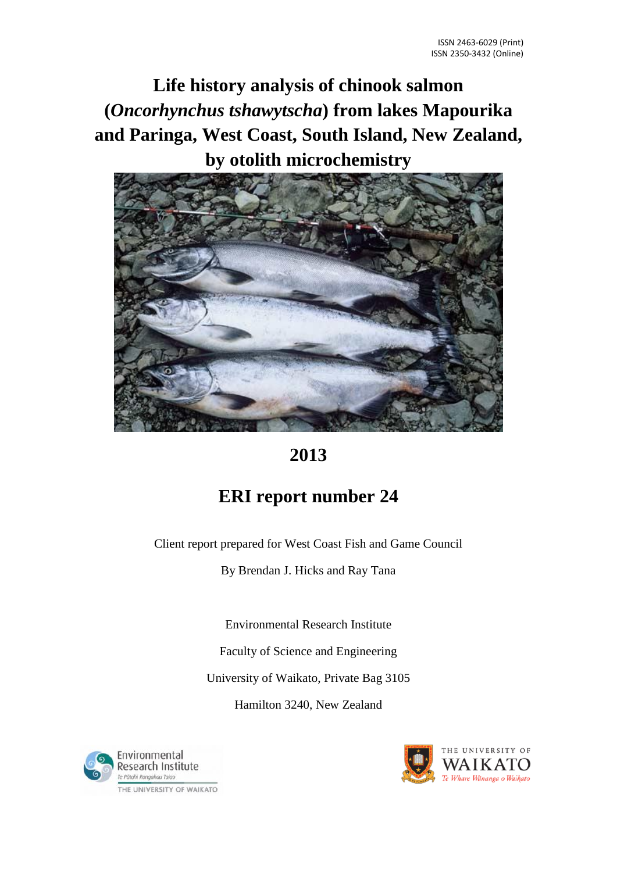**Life history analysis of chinook salmon (***Oncorhynchus tshawytscha***) from lakes Mapourika and Paringa, West Coast, South Island, New Zealand, by otolith microchemistry**



# **2013**

# **ERI report number 24**

Client report prepared for West Coast Fish and Game Council

By Brendan J. Hicks and Ray Tana

Environmental Research Institute

Faculty of Science and Engineering

University of Waikato, Private Bag 3105

Hamilton 3240, New Zealand



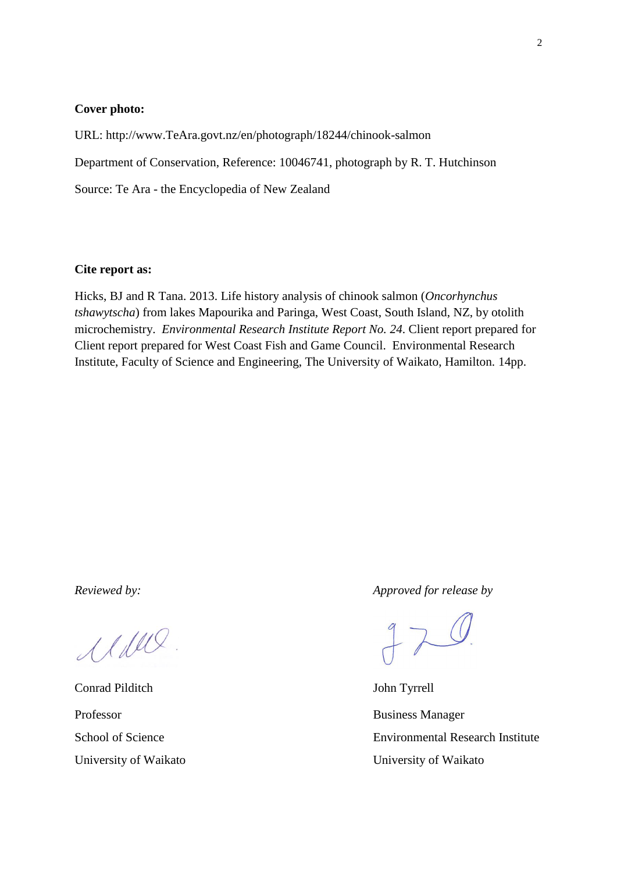#### **Cover photo:**

URL: http://www.TeAra.govt.nz/en/photograph/18244/chinook-salmon Department of Conservation, Reference: 10046741, photograph by R. T. Hutchinson Source: Te Ara - the Encyclopedia of New Zealand

#### **Cite report as:**

Hicks, BJ and R Tana. 2013. Life history analysis of chinook salmon (*Oncorhynchus tshawytscha*) from lakes Mapourika and Paringa, West Coast, South Island, NZ, by otolith microchemistry. *Environmental Research Institute Report No. 24*. Client report prepared for Client report prepared for West Coast Fish and Game Council. Environmental Research Institute, Faculty of Science and Engineering, The University of Waikato, Hamilton. 14pp.

Maus

Conrad Pilditch John Tyrrell Professor Business Manager

*Reviewed by: Approved for release by*

 $970$ 

School of Science **Environmental Research Institute** University of Waikato **University of Waikato**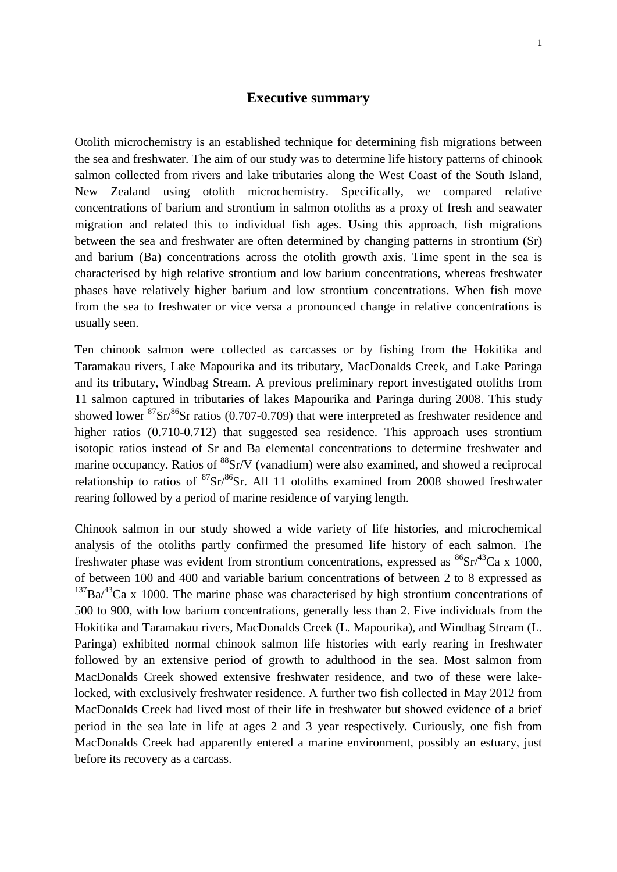## **Executive summary**

<span id="page-2-0"></span>Otolith microchemistry is an established technique for determining fish migrations between the sea and freshwater. The aim of our study was to determine life history patterns of chinook salmon collected from rivers and lake tributaries along the West Coast of the South Island, New Zealand using otolith microchemistry. Specifically, we compared relative concentrations of barium and strontium in salmon otoliths as a proxy of fresh and seawater migration and related this to individual fish ages. Using this approach, fish migrations between the sea and freshwater are often determined by changing patterns in strontium (Sr) and barium (Ba) concentrations across the otolith growth axis. Time spent in the sea is characterised by high relative strontium and low barium concentrations, whereas freshwater phases have relatively higher barium and low strontium concentrations. When fish move from the sea to freshwater or vice versa a pronounced change in relative concentrations is usually seen.

Ten chinook salmon were collected as carcasses or by fishing from the Hokitika and Taramakau rivers, Lake Mapourika and its tributary, MacDonalds Creek, and Lake Paringa and its tributary, Windbag Stream. A previous preliminary report investigated otoliths from 11 salmon captured in tributaries of lakes Mapourika and Paringa during 2008. This study showed lower  ${}^{87}Sr/{}^{86}Sr$  ratios (0.707-0.709) that were interpreted as freshwater residence and higher ratios (0.710-0.712) that suggested sea residence. This approach uses strontium isotopic ratios instead of Sr and Ba elemental concentrations to determine freshwater and marine occupancy. Ratios of <sup>88</sup>Sr/V (vanadium) were also examined, and showed a reciprocal relationship to ratios of  ${}^{87}Sr/{}^{86}Sr$ . All 11 otoliths examined from 2008 showed freshwater rearing followed by a period of marine residence of varying length.

Chinook salmon in our study showed a wide variety of life histories, and microchemical analysis of the otoliths partly confirmed the presumed life history of each salmon. The freshwater phase was evident from strontium concentrations, expressed as  ${}^{86}Sr/{}^{43}Ca \times 1000$ , of between 100 and 400 and variable barium concentrations of between 2 to 8 expressed as  $137Ba^{43}Ca \times 1000$ . The marine phase was characterised by high strontium concentrations of 500 to 900, with low barium concentrations, generally less than 2. Five individuals from the Hokitika and Taramakau rivers, MacDonalds Creek (L. Mapourika), and Windbag Stream (L. Paringa) exhibited normal chinook salmon life histories with early rearing in freshwater followed by an extensive period of growth to adulthood in the sea. Most salmon from MacDonalds Creek showed extensive freshwater residence, and two of these were lakelocked, with exclusively freshwater residence. A further two fish collected in May 2012 from MacDonalds Creek had lived most of their life in freshwater but showed evidence of a brief period in the sea late in life at ages 2 and 3 year respectively. Curiously, one fish from MacDonalds Creek had apparently entered a marine environment, possibly an estuary, just before its recovery as a carcass.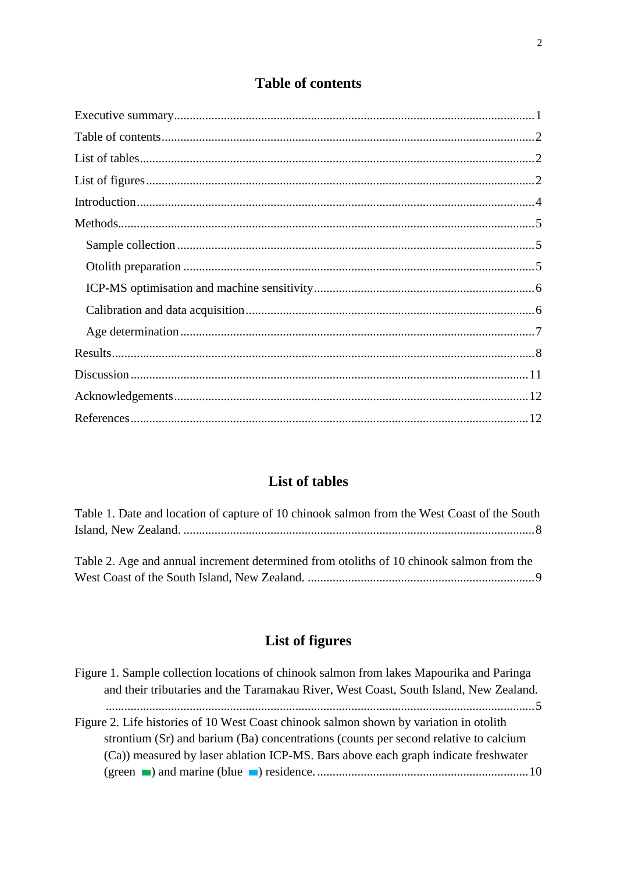## **Table of contents**

<span id="page-3-0"></span>

## **List of tables**

<span id="page-3-1"></span>

| Table 1. Date and location of capture of 10 chinook salmon from the West Coast of the South |  |
|---------------------------------------------------------------------------------------------|--|
|                                                                                             |  |
|                                                                                             |  |
| Table 2. Age and annual increment determined from otoliths of 10 chinook salmon from the    |  |
|                                                                                             |  |

# List of figures

<span id="page-3-2"></span>

| Figure 1. Sample collection locations of chinook salmon from lakes Mapourika and Paringa |
|------------------------------------------------------------------------------------------|
| and their tributaries and the Taramakau River, West Coast, South Island, New Zealand.    |
|                                                                                          |
| Figure 2. Life histories of 10 West Coast chinook salmon shown by variation in otolith   |
| strontium (Sr) and barium (Ba) concentrations (counts per second relative to calcium     |
| (Ca)) measured by laser ablation ICP-MS. Bars above each graph indicate freshwater       |
|                                                                                          |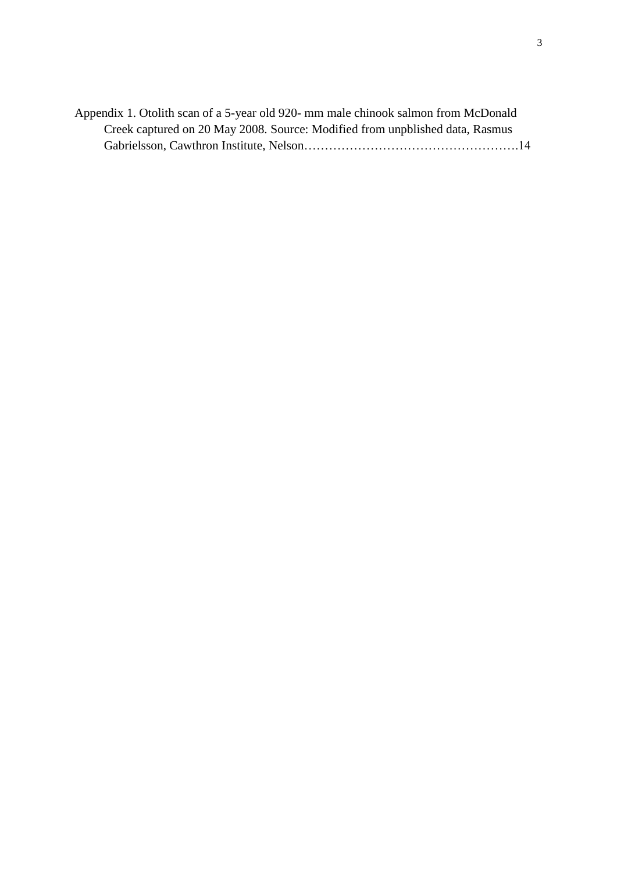| Appendix 1. Otolith scan of a 5-year old 920- mm male chinook salmon from McDonald |  |
|------------------------------------------------------------------------------------|--|
| Creek captured on 20 May 2008. Source: Modified from unpolished data, Rasmus       |  |
|                                                                                    |  |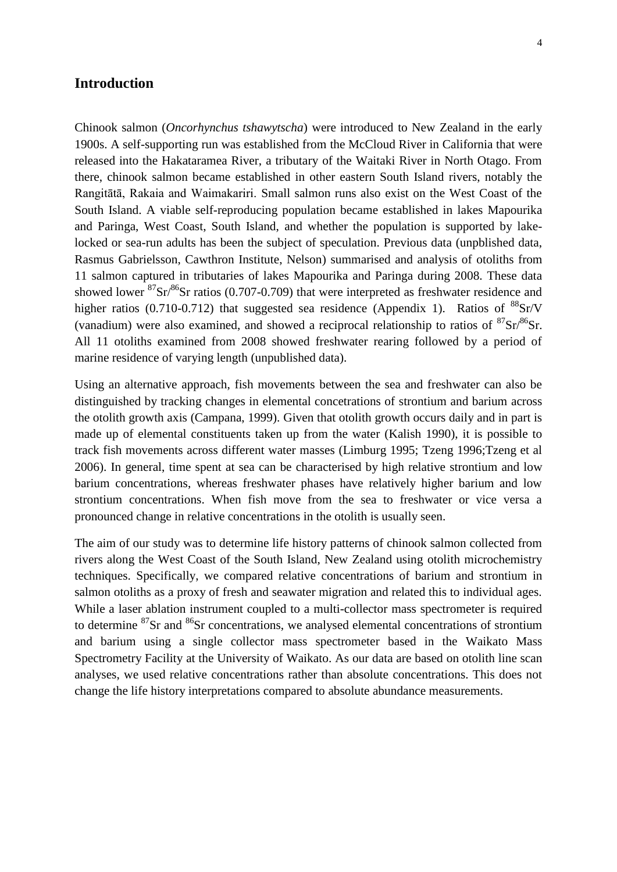## <span id="page-5-0"></span>**Introduction**

Chinook salmon (*Oncorhynchus tshawytscha*) were introduced to New Zealand in the early 1900s. A self-supporting run was established from the McCloud River in California that were released into the Hakataramea River, a tributary of the Waitaki River in North Otago. From there, chinook salmon became established in other eastern South Island rivers, notably the Rangitātā, Rakaia and Waimakariri. Small salmon runs also exist on the West Coast of the South Island. A viable self-reproducing population became established in lakes Mapourika and Paringa, West Coast, South Island, and whether the population is supported by lakelocked or sea-run adults has been the subject of speculation. Previous data (unpblished data, Rasmus Gabrielsson, Cawthron Institute, Nelson) summarised and analysis of otoliths from 11 salmon captured in tributaries of lakes Mapourika and Paringa during 2008. These data showed lower  ${}^{87}Sr/{}^{86}Sr$  ratios (0.707-0.709) that were interpreted as freshwater residence and higher ratios (0.710-0.712) that suggested sea residence (Appendix 1). Ratios of  ${}^{88}Sr/V$ (vanadium) were also examined, and showed a reciprocal relationship to ratios of  ${}^{87}Sr/{}^{86}Sr$ . All 11 otoliths examined from 2008 showed freshwater rearing followed by a period of marine residence of varying length (unpublished data).

Using an alternative approach, fish movements between the sea and freshwater can also be distinguished by tracking changes in elemental concetrations of strontium and barium across the otolith growth axis (Campana, 1999). Given that otolith growth occurs daily and in part is made up of elemental constituents taken up from the water (Kalish 1990), it is possible to track fish movements across different water masses (Limburg 1995; Tzeng 1996;Tzeng et al 2006). In general, time spent at sea can be characterised by high relative strontium and low barium concentrations, whereas freshwater phases have relatively higher barium and low strontium concentrations. When fish move from the sea to freshwater or vice versa a pronounced change in relative concentrations in the otolith is usually seen.

The aim of our study was to determine life history patterns of chinook salmon collected from rivers along the West Coast of the South Island, New Zealand using otolith microchemistry techniques. Specifically, we compared relative concentrations of barium and strontium in salmon otoliths as a proxy of fresh and seawater migration and related this to individual ages. While a laser ablation instrument coupled to a multi-collector mass spectrometer is required to determine  ${}^{87}Sr$  and  ${}^{86}Sr$  concentrations, we analysed elemental concentrations of strontium and barium using a single collector mass spectrometer based in the Waikato Mass Spectrometry Facility at the University of Waikato. As our data are based on otolith line scan analyses, we used relative concentrations rather than absolute concentrations. This does not change the life history interpretations compared to absolute abundance measurements.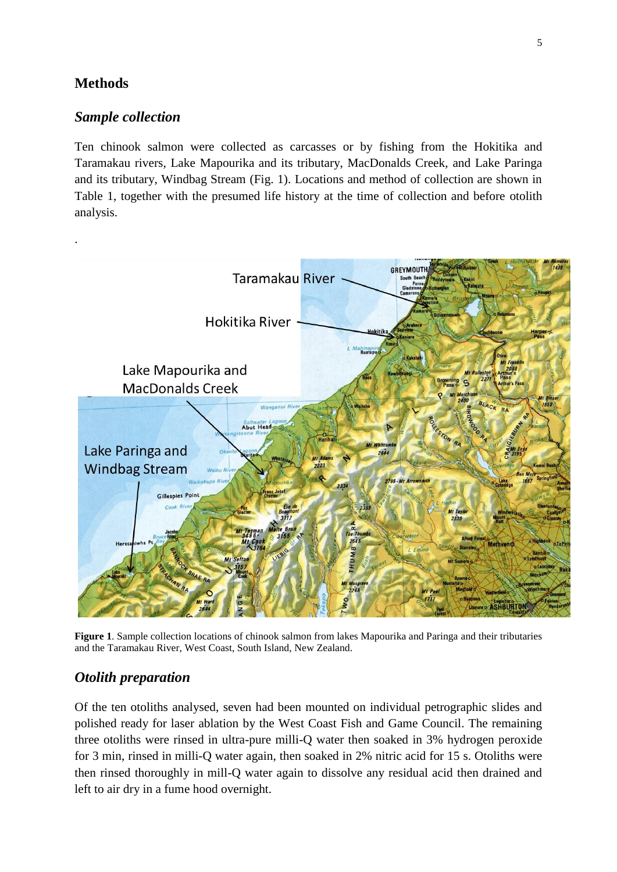## <span id="page-6-0"></span>**Methods**

## <span id="page-6-1"></span>*Sample collection*

Ten chinook salmon were collected as carcasses or by fishing from the Hokitika and Taramakau rivers, Lake Mapourika and its tributary, MacDonalds Creek, and Lake Paringa and its tributary, Windbag Stream (Fig. 1). Locations and method of collection are shown in Table 1, together with the presumed life history at the time of collection and before otolith analysis.



<span id="page-6-3"></span>**Figure 1**. Sample collection locations of chinook salmon from lakes Mapourika and Paringa and their tributaries and the Taramakau River, West Coast, South Island, New Zealand.

## <span id="page-6-2"></span>*Otolith preparation*

Of the ten otoliths analysed, seven had been mounted on individual petrographic slides and polished ready for laser ablation by the West Coast Fish and Game Council. The remaining three otoliths were rinsed in ultra-pure milli-Q water then soaked in 3% hydrogen peroxide for 3 min, rinsed in milli-Q water again, then soaked in 2% nitric acid for 15 s. Otoliths were then rinsed thoroughly in mill-Q water again to dissolve any residual acid then drained and left to air dry in a fume hood overnight.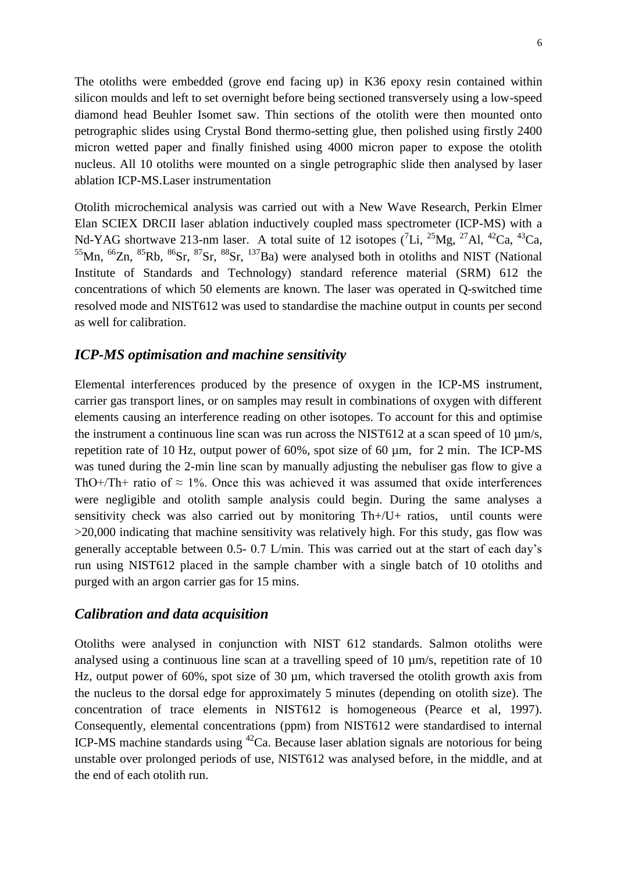The otoliths were embedded (grove end facing up) in K36 epoxy resin contained within silicon moulds and left to set overnight before being sectioned transversely using a low-speed diamond head Beuhler Isomet saw. Thin sections of the otolith were then mounted onto petrographic slides using Crystal Bond thermo-setting glue, then polished using firstly 2400 micron wetted paper and finally finished using 4000 micron paper to expose the otolith nucleus. All 10 otoliths were mounted on a single petrographic slide then analysed by laser ablation ICP-MS.Laser instrumentation

Otolith microchemical analysis was carried out with a New Wave Research, Perkin Elmer Elan SCIEX DRCII laser ablation inductively coupled mass spectrometer (ICP-MS) with a Nd-YAG shortwave 213-nm laser. A total suite of 12 isotopes  $(^{7}Li, ^{25}Mg, ^{27}Al, ^{42}Ca, ^{43}Ca,$  $^{55}$ Mn,  $^{66}$ Zn,  $^{85}$ Rb,  $^{86}$ Sr,  $^{87}$ Sr,  $^{88}$ Sr,  $^{137}$ Ba) were analysed both in otoliths and NIST (National Institute of Standards and Technology) standard reference material (SRM) 612 the concentrations of which 50 elements are known. The laser was operated in Q-switched time resolved mode and NIST612 was used to standardise the machine output in counts per second as well for calibration.

## <span id="page-7-0"></span>*ICP-MS optimisation and machine sensitivity*

Elemental interferences produced by the presence of oxygen in the ICP-MS instrument, carrier gas transport lines, or on samples may result in combinations of oxygen with different elements causing an interference reading on other isotopes. To account for this and optimise the instrument a continuous line scan was run across the NIST612 at a scan speed of 10  $\mu$ m/s, repetition rate of 10 Hz, output power of 60%, spot size of 60 µm, for 2 min. The ICP-MS was tuned during the 2-min line scan by manually adjusting the nebuliser gas flow to give a ThO+/Th+ ratio of  $\approx 1\%$ . Once this was achieved it was assumed that oxide interferences were negligible and otolith sample analysis could begin. During the same analyses a sensitivity check was also carried out by monitoring Th+/U+ ratios, until counts were >20,000 indicating that machine sensitivity was relatively high. For this study, gas flow was generally acceptable between 0.5- 0.7 L/min. This was carried out at the start of each day's run using NIST612 placed in the sample chamber with a single batch of 10 otoliths and purged with an argon carrier gas for 15 mins.

## <span id="page-7-1"></span>*Calibration and data acquisition*

Otoliths were analysed in conjunction with NIST 612 standards. Salmon otoliths were analysed using a continuous line scan at a travelling speed of 10 µm/s, repetition rate of 10 Hz, output power of 60%, spot size of 30 µm, which traversed the otolith growth axis from the nucleus to the dorsal edge for approximately 5 minutes (depending on otolith size). The concentration of trace elements in NIST612 is homogeneous (Pearce et al, 1997). Consequently, elemental concentrations (ppm) from NIST612 were standardised to internal ICP-MS machine standards using  $^{42}$ Ca. Because laser ablation signals are notorious for being unstable over prolonged periods of use, NIST612 was analysed before, in the middle, and at the end of each otolith run.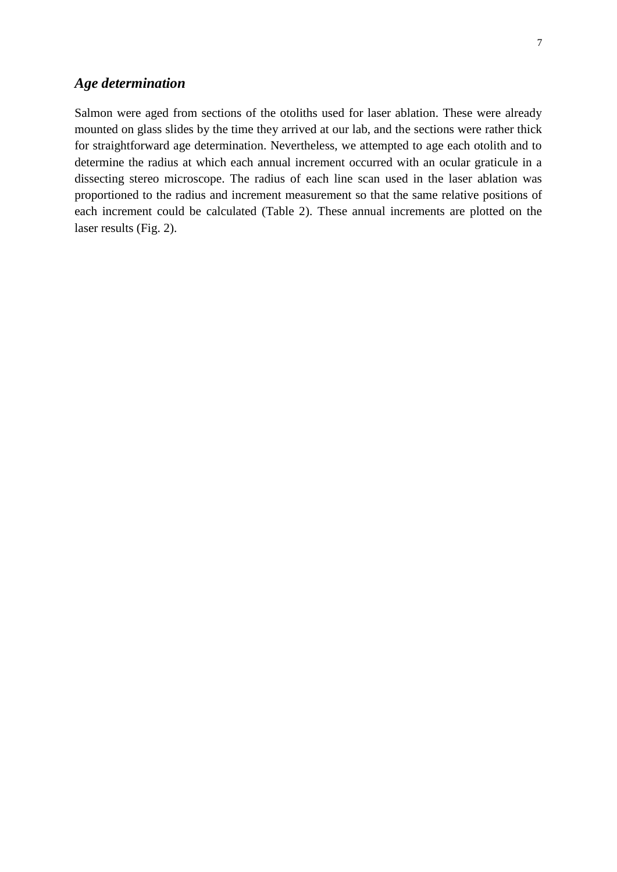<span id="page-8-0"></span>Salmon were aged from sections of the otoliths used for laser ablation. These were already mounted on glass slides by the time they arrived at our lab, and the sections were rather thick for straightforward age determination. Nevertheless, we attempted to age each otolith and to determine the radius at which each annual increment occurred with an ocular graticule in a dissecting stereo microscope. The radius of each line scan used in the laser ablation was proportioned to the radius and increment measurement so that the same relative positions of each increment could be calculated (Table 2). These annual increments are plotted on the laser results (Fig. 2).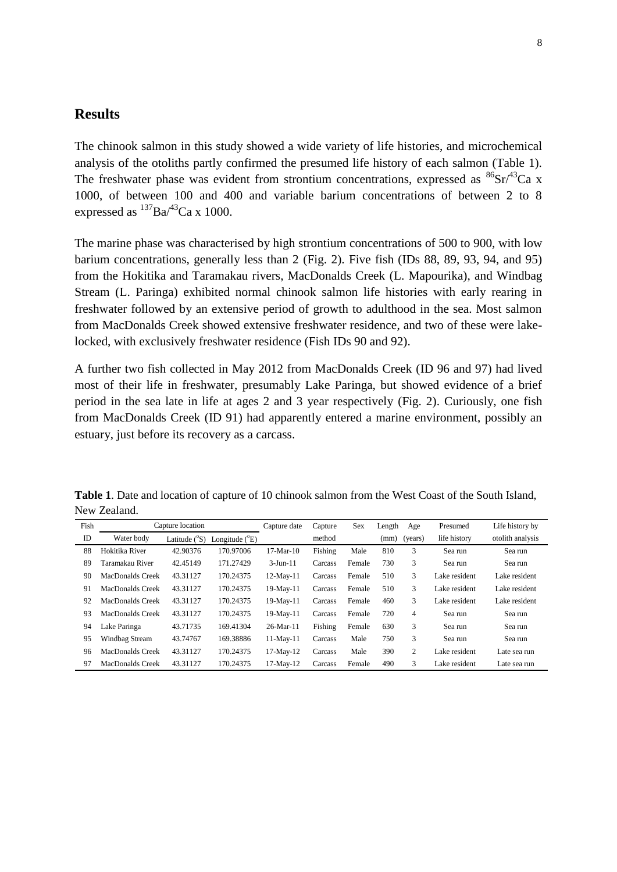## <span id="page-9-0"></span>**Results**

The chinook salmon in this study showed a wide variety of life histories, and microchemical analysis of the otoliths partly confirmed the presumed life history of each salmon (Table 1). The freshwater phase was evident from strontium concentrations, expressed as  ${}^{86}Sr/{}^{43}Ca$  x 1000, of between 100 and 400 and variable barium concentrations of between 2 to 8 expressed as  $^{137}Ba^{43}Ca \times 1000$ .

The marine phase was characterised by high strontium concentrations of 500 to 900, with low barium concentrations, generally less than 2 (Fig. 2). Five fish (IDs 88, 89, 93, 94, and 95) from the Hokitika and Taramakau rivers, MacDonalds Creek (L. Mapourika), and Windbag Stream (L. Paringa) exhibited normal chinook salmon life histories with early rearing in freshwater followed by an extensive period of growth to adulthood in the sea. Most salmon from MacDonalds Creek showed extensive freshwater residence, and two of these were lakelocked, with exclusively freshwater residence (Fish IDs 90 and 92).

A further two fish collected in May 2012 from MacDonalds Creek (ID 96 and 97) had lived most of their life in freshwater, presumably Lake Paringa, but showed evidence of a brief period in the sea late in life at ages 2 and 3 year respectively (Fig. 2). Curiously, one fish from MacDonalds Creek (ID 91) had apparently entered a marine environment, possibly an estuary, just before its recovery as a carcass.

| Fish | Capture location |                        |                         | Capture date | Capture | Sex    | Length | Age     | Presumed      | Life history by  |
|------|------------------|------------------------|-------------------------|--------------|---------|--------|--------|---------|---------------|------------------|
| ID   | Water body       | Latitude $(^{\circ}S)$ | Longitude $(^{\circ}E)$ |              | method  |        | (mm)   | (years) | life history  | otolith analysis |
| 88   | Hokitika River   | 42.90376               | 170.97006               | $17-Mar-10$  | Fishing | Male   | 810    | 3       | Sea run       | Sea run          |
| 89   | Taramakau River  | 42.45149               | 171.27429               | $3$ -Jun-11  | Carcass | Female | 730    | 3       | Sea run       | Sea run          |
| 90   | MacDonalds Creek | 43.31127               | 170.24375               | 12-May-11    | Carcass | Female | 510    | 3       | Lake resident | Lake resident    |
| 91   | MacDonalds Creek | 43.31127               | 170.24375               | $19-May-11$  | Carcass | Female | 510    | 3       | Lake resident | Lake resident    |
| 92   | MacDonalds Creek | 43.31127               | 170.24375               | $19-May-11$  | Carcass | Female | 460    | 3       | Lake resident | Lake resident    |
| 93   | MacDonalds Creek | 43.31127               | 170.24375               | 19-May-11    | Carcass | Female | 720    | 4       | Sea run       | Sea run          |
| 94   | Lake Paringa     | 43.71735               | 169.41304               | $26-Mar-11$  | Fishing | Female | 630    | 3       | Sea run       | Sea run          |
| 95   | Windbag Stream   | 43.74767               | 169.38886               | 11-May-11    | Carcass | Male   | 750    | 3       | Sea run       | Sea run          |
| 96   | MacDonalds Creek | 43.31127               | 170.24375               | 17-May-12    | Carcass | Male   | 390    | 2       | Lake resident | Late sea run     |
| 97   | MacDonalds Creek | 43.31127               | 170.24375               | 17-May-12    | Carcass | Female | 490    | 3       | Lake resident | Late sea run     |

<span id="page-9-1"></span>**Table 1**. Date and location of capture of 10 chinook salmon from the West Coast of the South Island, New Zealand.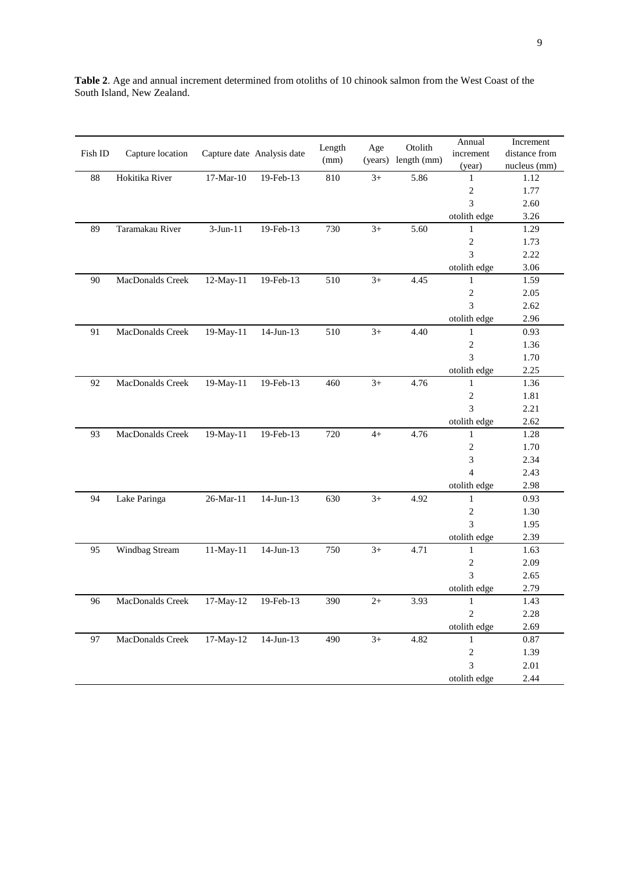|         |                                      |             |                            | Length | Age     | Otolith     | Annual         | Increment     |
|---------|--------------------------------------|-------------|----------------------------|--------|---------|-------------|----------------|---------------|
| Fish ID | Capture location                     |             | Capture date Analysis date | (mm)   | (years) | length (mm) | increment      | distance from |
|         |                                      |             |                            |        |         |             | (year)         | nucleus (mm)  |
| 88      | Hokitika River                       | $17-Mar-10$ | 19-Feb-13                  | 810    | $3+$    | 5.86        | 1              | 1.12          |
|         |                                      |             |                            |        |         |             | $\sqrt{2}$     | 1.77          |
|         |                                      |             |                            |        |         |             | 3              | 2.60          |
|         |                                      |             |                            |        |         |             | otolith edge   | 3.26          |
| 89      | Taramakau River                      | $3-Jun-11$  | 19-Feb-13                  | 730    | $3+$    | 5.60        | 1              | 1.29          |
|         |                                      |             |                            |        |         |             | $\sqrt{2}$     | 1.73          |
|         |                                      |             |                            |        |         |             | 3              | 2.22          |
|         |                                      |             |                            |        |         |             | otolith edge   | 3.06          |
| 90      | MacDonalds Creek                     | 12-May-11   | 19-Feb-13                  | 510    | $3+$    | 4.45        | 1              | 1.59          |
|         |                                      |             |                            |        |         |             | $\overline{c}$ | 2.05          |
|         |                                      |             |                            |        |         |             | 3              | 2.62          |
|         |                                      |             |                            |        |         |             | otolith edge   | 2.96          |
| 91      | MacDonalds Creek                     | 19-May-11   | $14$ -Jun- $13$            | 510    | $3+$    | 4.40        | $\mathbf{1}$   | 0.93          |
|         |                                      |             |                            |        |         |             | $\sqrt{2}$     | 1.36          |
|         |                                      |             |                            |        |         |             | 3              | 1.70          |
|         |                                      |             |                            |        |         |             | otolith edge   | 2.25          |
| 92      | MacDonalds Creek                     | 19-May-11   | 19-Feb-13                  | 460    | $3+$    | 4.76        | $\mathbf{1}$   | 1.36          |
|         |                                      |             |                            |        |         |             | $\sqrt{2}$     | 1.81          |
|         |                                      |             |                            |        |         |             | 3              | 2.21          |
|         |                                      |             |                            |        |         |             | otolith edge   | 2.62          |
| 93      | MacDonalds Creek                     | 19-May-11   | 19-Feb-13                  | 720    | $4+$    | 4.76        | $\mathbf{1}$   | 1.28          |
|         |                                      |             |                            |        |         |             | $\sqrt{2}$     | 1.70          |
|         |                                      |             |                            |        |         |             | 3              | 2.34          |
|         |                                      |             |                            |        |         |             | $\overline{4}$ | 2.43          |
|         |                                      |             |                            |        |         |             | otolith edge   | 2.98          |
| 94      | Lake Paringa                         | 26-Mar-11   | $14$ -Jun- $13$            | 630    | $3+$    | 4.92        | $\mathbf{1}$   | 0.93          |
|         |                                      |             |                            |        |         |             | $\sqrt{2}$     | 1.30          |
|         |                                      |             |                            |        |         |             | 3              | 1.95          |
|         |                                      |             |                            |        |         |             | otolith edge   | 2.39          |
| 95      | Windbag Stream                       | 11-May-11   | $14$ -Jun- $13$            | 750    | $3+$    | 4.71        | $\mathbf{1}$   | 1.63          |
|         |                                      |             |                            |        |         |             | $\sqrt{2}$     | 2.09          |
|         |                                      |             |                            |        |         |             | 3              | 2.65          |
|         |                                      |             |                            |        |         |             | otolith edge   | 2.79          |
| 96      | MacDonalds Creek 17-May-12 19-Feb-13 |             |                            | 390    | $2+$    | 3.93        | $\mathbf{1}$   | 1.43          |
|         |                                      |             |                            |        |         |             | $\overline{2}$ | 2.28          |
|         |                                      |             |                            |        |         |             | otolith edge   | 2.69          |
| 97      | MacDonalds Creek                     | 17-May-12   | $14$ -Jun- $13$            | 490    | $3+$    | 4.82        | $\mathbf{1}$   | 0.87          |
|         |                                      |             |                            |        |         |             | $\sqrt{2}$     | 1.39          |
|         |                                      |             |                            |        |         |             | $\overline{3}$ | 2.01          |
|         |                                      |             |                            |        |         |             | otolith edge   | 2.44          |
|         |                                      |             |                            |        |         |             |                |               |

**Table 2**. Age and annual increment determined from otoliths of 10 chinook salmon from the West Coast of the South Island, New Zealand.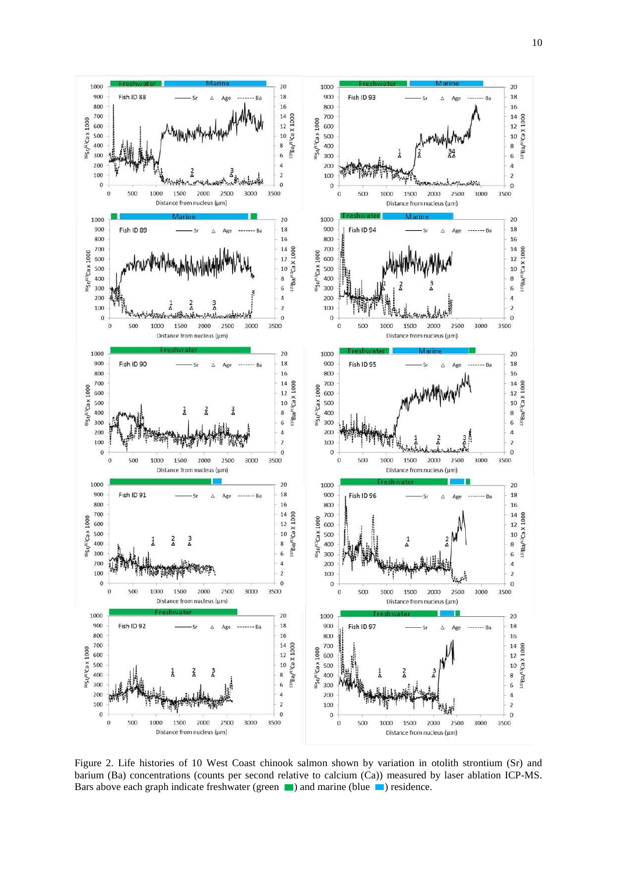

<span id="page-11-0"></span>Figure 2. Life histories of 10 West Coast chinook salmon shown by variation in otolith strontium (Sr) and barium (Ba) concentrations (counts per second relative to calcium (Ca)) measured by laser ablation ICP-MS. Bars above each graph indicate freshwater (green  $\Box$ ) and marine (blue  $\Box$ ) residence.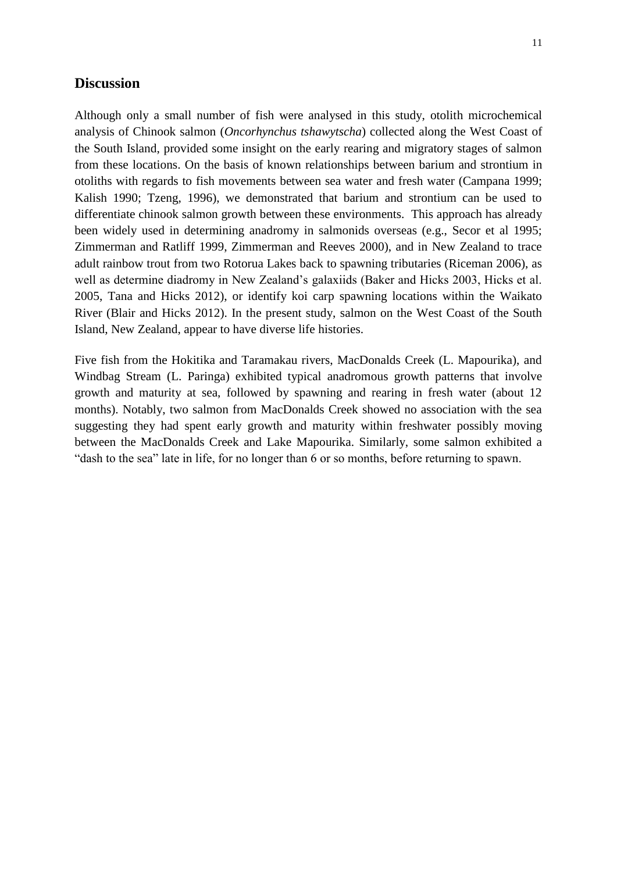### <span id="page-12-0"></span>**Discussion**

11

Although only a small number of fish were analysed in this study, otolith microchemical analysis of Chinook salmon (*Oncorhynchus tshawytscha*) collected along the West Coast of the South Island, provided some insight on the early rearing and migratory stages of salmon from these locations. On the basis of known relationships between barium and strontium in otoliths with regards to fish movements between sea water and fresh water (Campana 1999; Kalish 1990; Tzeng, 1996), we demonstrated that barium and strontium can be used to differentiate chinook salmon growth between these environments. This approach has already been widely used in determining anadromy in salmonids overseas (e.g., Secor et al 1995; Zimmerman and Ratliff 1999, Zimmerman and Reeves 2000), and in New Zealand to trace adult rainbow trout from two Rotorua Lakes back to spawning tributaries (Riceman 2006), as well as determine diadromy in New Zealand's galaxiids (Baker and Hicks 2003, Hicks et al. 2005, Tana and Hicks 2012), or identify koi carp spawning locations within the Waikato River (Blair and Hicks 2012). In the present study, salmon on the West Coast of the South Island, New Zealand, appear to have diverse life histories.

Five fish from the Hokitika and Taramakau rivers, MacDonalds Creek (L. Mapourika), and Windbag Stream (L. Paringa) exhibited typical anadromous growth patterns that involve growth and maturity at sea, followed by spawning and rearing in fresh water (about 12 months). Notably, two salmon from MacDonalds Creek showed no association with the sea suggesting they had spent early growth and maturity within freshwater possibly moving between the MacDonalds Creek and Lake Mapourika. Similarly, some salmon exhibited a "dash to the sea" late in life, for no longer than 6 or so months, before returning to spawn.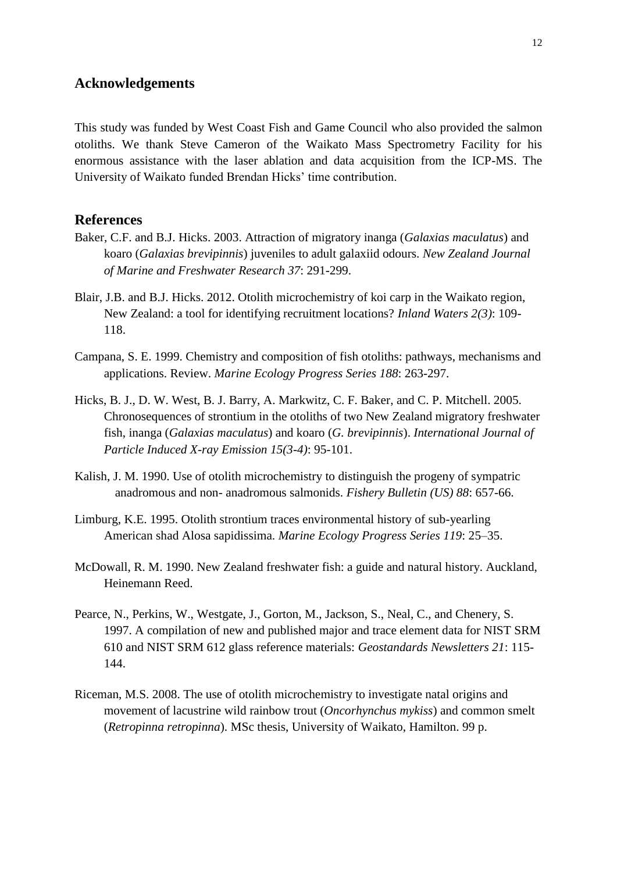## <span id="page-13-0"></span>**Acknowledgements**

This study was funded by West Coast Fish and Game Council who also provided the salmon otoliths. We thank Steve Cameron of the Waikato Mass Spectrometry Facility for his enormous assistance with the laser ablation and data acquisition from the ICP-MS. The University of Waikato funded Brendan Hicks' time contribution.

## <span id="page-13-1"></span>**References**

- Baker, C.F. and B.J. Hicks. 2003. Attraction of migratory inanga (*Galaxias maculatus*) and koaro (*Galaxias brevipinnis*) juveniles to adult galaxiid odours. *New Zealand Journal of Marine and Freshwater Research 37*: 291-299.
- Blair, J.B. and B.J. Hicks. 2012. Otolith microchemistry of koi carp in the Waikato region, New Zealand: a tool for identifying recruitment locations? *Inland Waters 2(3)*: 109- 118.
- Campana, S. E. 1999. Chemistry and composition of fish otoliths: pathways, mechanisms and applications. Review. *Marine Ecology Progress Series 188*: 263-297.
- Hicks, B. J., D. W. West, B. J. Barry, A. Markwitz, C. F. Baker, and C. P. Mitchell. 2005. Chronosequences of strontium in the otoliths of two New Zealand migratory freshwater fish, inanga (*Galaxias maculatus*) and koaro (*G. brevipinnis*). *International Journal of Particle Induced X-ray Emission 15(3-4)*: 95-101.
- Kalish, J. M. 1990. Use of otolith microchemistry to distinguish the progeny of sympatric anadromous and non- anadromous salmonids. *Fishery Bulletin (US) 88*: 657-66.
- Limburg, K.E. 1995. Otolith strontium traces environmental history of sub-yearling American shad Alosa sapidissima. *Marine Ecology Progress Series 119*: 25–35.
- McDowall, R. M. 1990. New Zealand freshwater fish: a guide and natural history. Auckland, Heinemann Reed.
- Pearce, N., Perkins, W., Westgate, J., Gorton, M., Jackson, S., Neal, C., and Chenery, S. 1997. A compilation of new and published major and trace element data for NIST SRM 610 and NIST SRM 612 glass reference materials: *Geostandards Newsletters 21*: 115- 144.
- Riceman, M.S. 2008. The use of otolith microchemistry to investigate natal origins and movement of lacustrine wild rainbow trout (*Oncorhynchus mykiss*) and common smelt (*Retropinna retropinna*). MSc thesis, University of Waikato, Hamilton. 99 p.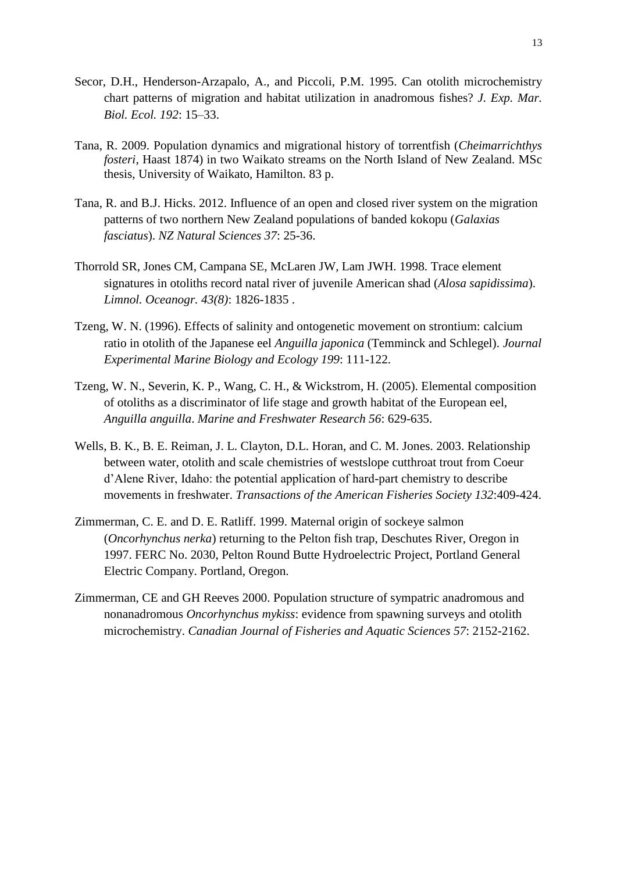- Secor, D.H., Henderson-Arzapalo, A., and Piccoli, P.M. 1995. Can otolith microchemistry chart patterns of migration and habitat utilization in anadromous fishes? *J. Exp. Mar. Biol. Ecol. 192*: 15–33.
- Tana, R. 2009. Population dynamics and migrational history of torrentfish (*Cheimarrichthys fosteri*, Haast 1874) in two Waikato streams on the North Island of New Zealand. MSc thesis, University of Waikato, Hamilton. 83 p.
- Tana, R. and B.J. Hicks. 2012. Influence of an open and closed river system on the migration patterns of two northern New Zealand populations of banded kokopu (*Galaxias fasciatus*). *NZ Natural Sciences 37*: 25-36.
- Thorrold SR, Jones CM, Campana SE, McLaren JW, Lam JWH. 1998. Trace element signatures in otoliths record natal river of juvenile American shad (*Alosa sapidissima*). *Limnol. Oceanogr. 43(8)*: 1826-1835 .
- Tzeng, W. N. (1996). Effects of salinity and ontogenetic movement on strontium: calcium ratio in otolith of the Japanese eel *Anguilla japonica* (Temminck and Schlegel). *Journal Experimental Marine Biology and Ecology 199*: 111-122.
- Tzeng, W. N., Severin, K. P., Wang, C. H., & Wickstrom, H. (2005). Elemental composition of otoliths as a discriminator of life stage and growth habitat of the European eel, *Anguilla anguilla*. *Marine and Freshwater Research 56*: 629-635.
- Wells, B. K., B. E. Reiman, J. L. Clayton, D.L. Horan, and C. M. Jones. 2003. Relationship between water, otolith and scale chemistries of westslope cutthroat trout from Coeur d'Alene River, Idaho: the potential application of hard-part chemistry to describe movements in freshwater. *Transactions of the American Fisheries Society 132*:409-424.
- Zimmerman, C. E. and D. E. Ratliff. 1999. Maternal origin of sockeye salmon (*Oncorhynchus nerka*) returning to the Pelton fish trap, Deschutes River, Oregon in 1997. FERC No. 2030, Pelton Round Butte Hydroelectric Project, Portland General Electric Company. Portland, Oregon.
- Zimmerman, CE and GH Reeves 2000. Population structure of sympatric anadromous and nonanadromous *Oncorhynchus mykiss*: evidence from spawning surveys and otolith microchemistry. *Canadian Journal of Fisheries and Aquatic Sciences 57*: 2152-2162.